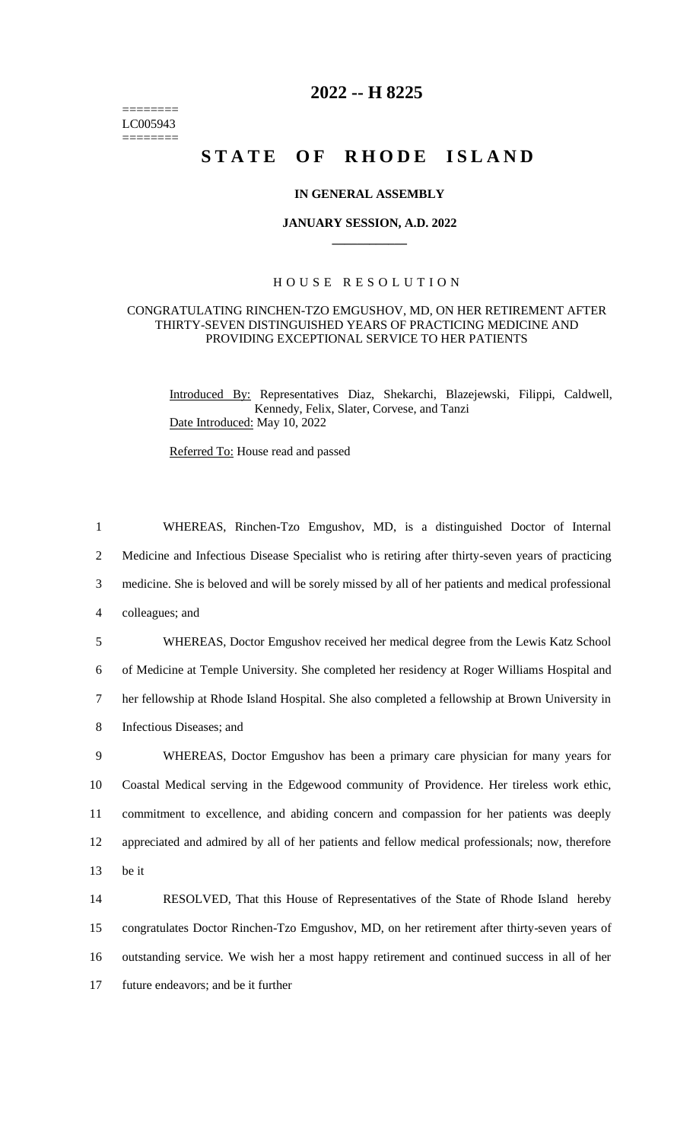======== LC005943  $=$ 

## **2022 -- H 8225**

# **STATE OF RHODE ISLAND**

#### **IN GENERAL ASSEMBLY**

#### **JANUARY SESSION, A.D. 2022 \_\_\_\_\_\_\_\_\_\_\_\_**

### H O U S E R E S O L U T I O N

#### CONGRATULATING RINCHEN-TZO EMGUSHOV, MD, ON HER RETIREMENT AFTER THIRTY-SEVEN DISTINGUISHED YEARS OF PRACTICING MEDICINE AND PROVIDING EXCEPTIONAL SERVICE TO HER PATIENTS

Introduced By: Representatives Diaz, Shekarchi, Blazejewski, Filippi, Caldwell, Kennedy, Felix, Slater, Corvese, and Tanzi Date Introduced: May 10, 2022

Referred To: House read and passed

| $\mathbf{1}$ | WHEREAS, Rinchen-Tzo Emgushov, MD, is a distinguished Doctor of Internal                           |
|--------------|----------------------------------------------------------------------------------------------------|
| 2            | Medicine and Infectious Disease Specialist who is retiring after thirty-seven years of practicing  |
| 3            | medicine. She is beloved and will be sorely missed by all of her patients and medical professional |
| 4            | colleagues; and                                                                                    |
| 5            | WHEREAS, Doctor Emgushov received her medical degree from the Lewis Katz School                    |
| 6            | of Medicine at Temple University. She completed her residency at Roger Williams Hospital and       |
| 7            | her fellowship at Rhode Island Hospital. She also completed a fellowship at Brown University in    |
| 8            | Infectious Diseases; and                                                                           |
| 9            | WHEREAS, Doctor Emgushov has been a primary care physician for many years for                      |
| 10           | Coastal Medical serving in the Edgewood community of Providence. Her tireless work ethic,          |
| 11           | commitment to excellence, and abiding concern and compassion for her patients was deeply           |
| 12           | appreciated and admired by all of her patients and fellow medical professionals; now, therefore    |
| 13           | be it                                                                                              |
| 14           | RESOLVED, That this House of Representatives of the State of Rhode Island hereby                   |
| 15           | congratulates Doctor Rinchen-Tzo Emgushov, MD, on her retirement after thirty-seven years of       |
| 16           | outstanding service. We wish her a most happy retirement and continued success in all of her       |
| 17           | future endeavors; and be it further                                                                |
|              |                                                                                                    |